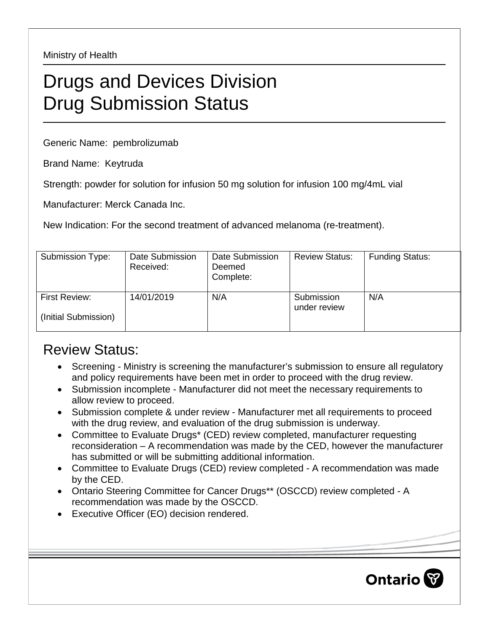Ministry of Health

## Drugs and Devices Division Drug Submission Status

Generic Name: pembrolizumab

Brand Name: Keytruda

Strength: powder for solution for infusion 50 mg solution for infusion 100 mg/4mL vial

Manufacturer: Merck Canada Inc.

New Indication: For the second treatment of advanced melanoma (re-treatment).

| Submission Type:                      | Date Submission<br>Received: | Date Submission<br>Deemed<br>Complete: | <b>Review Status:</b>      | <b>Funding Status:</b> |
|---------------------------------------|------------------------------|----------------------------------------|----------------------------|------------------------|
| First Review:<br>(Initial Submission) | 14/01/2019                   | N/A                                    | Submission<br>under review | N/A                    |

## Review Status:

- Screening Ministry is screening the manufacturer's submission to ensure all regulatory and policy requirements have been met in order to proceed with the drug review.
- Submission incomplete Manufacturer did not meet the necessary requirements to allow review to proceed.
- Submission complete & under review Manufacturer met all requirements to proceed with the drug review, and evaluation of the drug submission is underway.
- Committee to Evaluate Drugs\* (CED) review completed, manufacturer requesting reconsideration – A recommendation was made by the CED, however the manufacturer has submitted or will be submitting additional information.
- Committee to Evaluate Drugs (CED) review completed A recommendation was made by the CED.
- Ontario Steering Committee for Cancer Drugs\*\* (OSCCD) review completed A recommendation was made by the OSCCD.
- Executive Officer (EO) decision rendered.